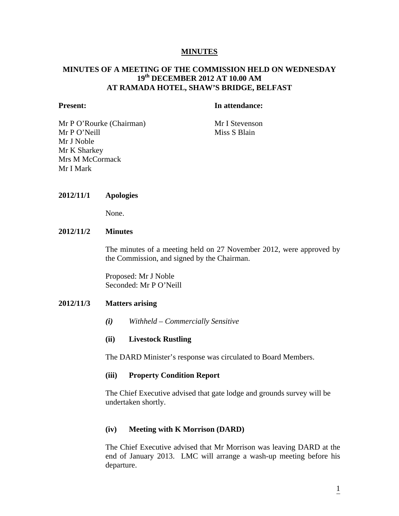#### **MINUTES**

### **MINUTES OF A MEETING OF THE COMMISSION HELD ON WEDNESDAY 19th DECEMBER 2012 AT 10.00 AM AT RAMADA HOTEL, SHAW'S BRIDGE, BELFAST**

#### **Present:** In attendance:

Mr P O'Rourke (Chairman) Mr I Stevenson Mr P O'Neill Miss S Blain Mr J Noble Mr K Sharkey Mrs M McCormack Mr I Mark

#### **2012/11/1 Apologies**

None.

#### **2012/11/2 Minutes**

The minutes of a meeting held on 27 November 2012, were approved by the Commission, and signed by the Chairman.

Proposed: Mr J Noble Seconded: Mr P O'Neill

#### **2012/11/3 Matters arising**

*(i) Withheld – Commercially Sensitive* 

#### **(ii) Livestock Rustling**

The DARD Minister's response was circulated to Board Members.

#### **(iii) Property Condition Report**

The Chief Executive advised that gate lodge and grounds survey will be undertaken shortly.

#### **(iv) Meeting with K Morrison (DARD)**

The Chief Executive advised that Mr Morrison was leaving DARD at the end of January 2013. LMC will arrange a wash-up meeting before his departure.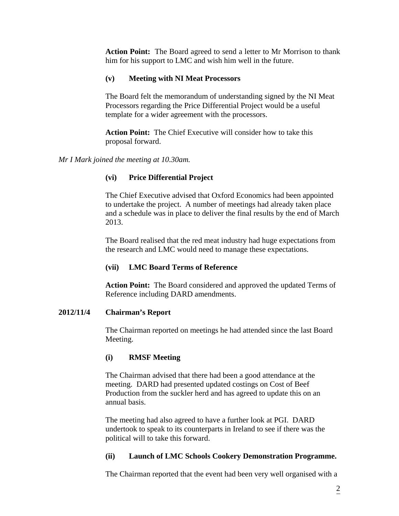**Action Point:** The Board agreed to send a letter to Mr Morrison to thank him for his support to LMC and wish him well in the future.

# **(v) Meeting with NI Meat Processors**

The Board felt the memorandum of understanding signed by the NI Meat Processors regarding the Price Differential Project would be a useful template for a wider agreement with the processors.

 **Action Point:** The Chief Executive will consider how to take this proposal forward.

*Mr I Mark joined the meeting at 10.30am.* 

# **(vi) Price Differential Project**

The Chief Executive advised that Oxford Economics had been appointed to undertake the project. A number of meetings had already taken place and a schedule was in place to deliver the final results by the end of March 2013.

 The Board realised that the red meat industry had huge expectations from the research and LMC would need to manage these expectations.

# **(vii) LMC Board Terms of Reference**

 **Action Point:** The Board considered and approved the updated Terms of Reference including DARD amendments.

## **2012/11/4 Chairman's Report**

The Chairman reported on meetings he had attended since the last Board Meeting.

# **(i) RMSF Meeting**

The Chairman advised that there had been a good attendance at the meeting. DARD had presented updated costings on Cost of Beef Production from the suckler herd and has agreed to update this on an annual basis.

 The meeting had also agreed to have a further look at PGI. DARD undertook to speak to its counterparts in Ireland to see if there was the political will to take this forward.

## **(ii) Launch of LMC Schools Cookery Demonstration Programme.**

The Chairman reported that the event had been very well organised with a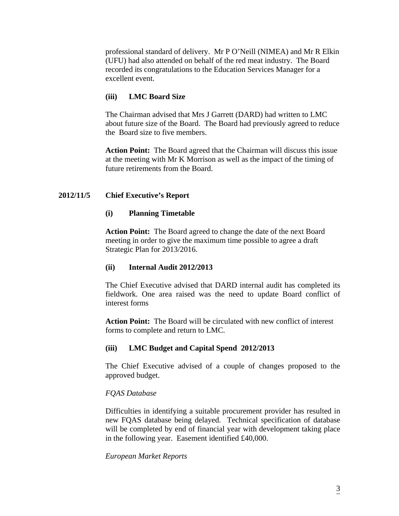professional standard of delivery. Mr P O'Neill (NIMEA) and Mr R Elkin (UFU) had also attended on behalf of the red meat industry. The Board recorded its congratulations to the Education Services Manager for a excellent event.

# **(iii) LMC Board Size**

The Chairman advised that Mrs J Garrett (DARD) had written to LMC about future size of the Board. The Board had previously agreed to reduce the Board size to five members.

 **Action Point:** The Board agreed that the Chairman will discuss this issue at the meeting with Mr K Morrison as well as the impact of the timing of future retirements from the Board.

# **2012/11/5 Chief Executive's Report**

## **(i) Planning Timetable**

 **Action Point:** The Board agreed to change the date of the next Board meeting in order to give the maximum time possible to agree a draft Strategic Plan for 2013/2016.

## **(ii) Internal Audit 2012/2013**

The Chief Executive advised that DARD internal audit has completed its fieldwork. One area raised was the need to update Board conflict of interest forms

 **Action Point:** The Board will be circulated with new conflict of interest forms to complete and return to LMC.

# **(iii) LMC Budget and Capital Spend 2012/2013**

The Chief Executive advised of a couple of changes proposed to the approved budget.

# *FQAS Database*

Difficulties in identifying a suitable procurement provider has resulted in new FQAS database being delayed. Technical specification of database will be completed by end of financial year with development taking place in the following year. Easement identified £40,000.

## *European Market Reports*